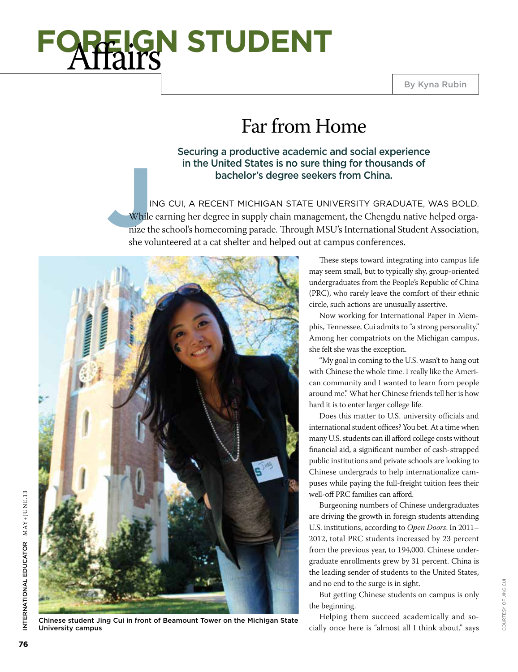

## Far from Home

Securing a productive academic and social experience in the United States is no sure thing for thousands of bachelor's degree seekers from China.

**J**<br>
While<br>
nize the she you ing Cui, a recent Michigan State University graduate, was bold. While earning her degree in supply chain management, the Chengdu native helped organize the school's homecoming parade. Through MSU's International Student Association, she volunteered at a cat shelter and helped out at campus conferences.



Chinese student Jing Cui in front of Beamount Tower on the Michigan State

These steps toward integrating into campus life may seem small, but to typically shy, group-oriented undergraduates from the People's Republic of China (PRC), who rarely leave the comfort of their ethnic circle, such actions are unusually assertive.

Now working for International Paper in Memphis, Tennessee, Cui admits to "a strong personality." Among her compatriots on the Michigan campus, she felt she was the exception.

"My goal in coming to the U.S. wasn't to hang out with Chinese the whole time. I really like the American community and I wanted to learn from people around me." What her Chinese friends tell her is how hard it is to enter larger college life.

Does this matter to U.S. university officials and international student offices? You bet. At a time when many U.S. students can ill afford college costs without financial aid, a significant number of cash-strapped public institutions and private schools are looking to Chinese undergrads to help internationalize campuses while paying the full-freight tuition fees their well-off PRC families can afford.

Burgeoning numbers of Chinese undergraduates are driving the growth in foreign students attending U.S. institutions, according to *Open Doors*. In 2011– 2012, total PRC students increased by 23 percent from the previous year, to 194,000. Chinese undergraduate enrollments grew by 31 percent. China is the leading sender of students to the United States, and no end to the surge is in sight.

But getting Chinese students on campus is only the beginning.

Helping them succeed academically and socially once here is "almost all I think about," says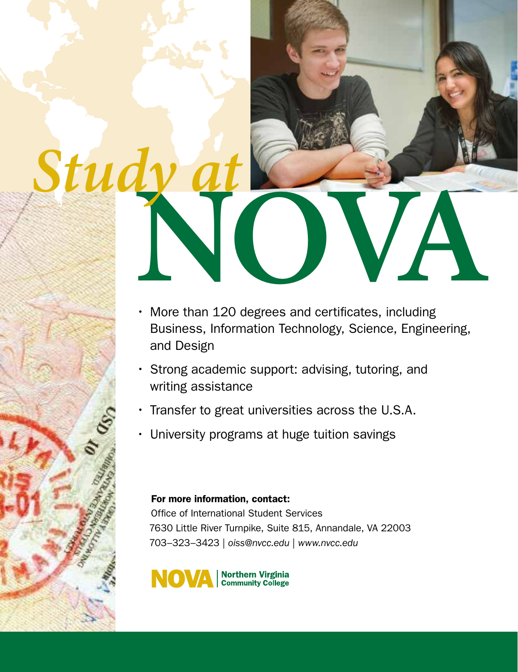

- Strong academic support: advising, tutoring, and writing assistance
- Transfer to great universities across the U.S.A.
- University programs at huge tuition savings

### For more information, contact:

Office of International Student Services 7630 Little River Turnpike, Suite 815, Annandale, VA 22003 703–323–3423 | *oiss@nvcc.edu* | *www.nvcc.edu*

![](_page_1_Picture_6.jpeg)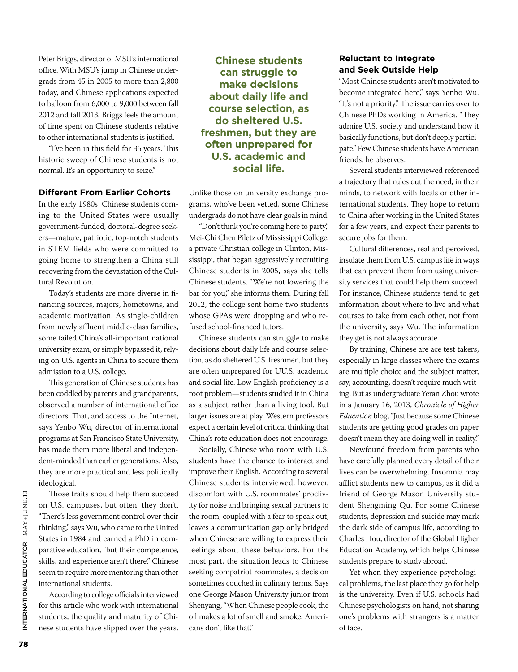Peter Briggs, director of MSU's international office. With MSU's jump in Chinese undergrads from 45 in 2005 to more than 2,800 today, and Chinese applications expected to balloon from 6,000 to 9,000 between fall 2012 and fall 2013, Briggs feels the amount of time spent on Chinese students relative to other international students is justified.

"I've been in this field for 35 years. This historic sweep of Chinese students is not normal. It's an opportunity to seize."

#### **Different From Earlier Cohorts**

In the early 1980s, Chinese students coming to the United States were usually government-funded, doctoral-degree seekers—mature, patriotic, top-notch students in STEM fields who were committed to going home to strengthen a China still recovering from the devastation of the Cultural Revolution.

Today's students are more diverse in financing sources, majors, hometowns, and academic motivation. As single-children from newly affluent middle-class families, some failed China's all-important national university exam, or simply bypassed it, relying on U.S. agents in China to secure them admission to a U.S. college.

This generation of Chinese students has been coddled by parents and grandparents, observed a number of international office directors. That, and access to the Internet, says Yenbo Wu, director of international programs at San Francisco State University, has made them more liberal and independent-minded than earlier generations. Also, they are more practical and less politically ideological.

Those traits should help them succeed on U.S. campuses, but often, they don't. "There's less government control over their thinking," says Wu, who came to the United States in 1984 and earned a PhD in comparative education, "but their competence, skills, and experience aren't there." Chinese seem to require more mentoring than other international students.

According to college officials interviewed for this article who work with international students, the quality and maturity of Chinese students have slipped over the years.

**Chinese students can struggle to make decisions about daily life and course selection, as do sheltered U.S. freshmen, but they are often unprepared for U.S. academic and social life.**

Unlike those on university exchange programs, who've been vetted, some Chinese undergrads do not have clear goals in mind.

"Don't think you're coming here to party," Mei-Chi Chen Piletz of Mississippi College, a private Christian college in Clinton, Mississippi, that began aggressively recruiting Chinese students in 2005, says she tells Chinese students. "We're not lowering the bar for you," she informs them. During fall 2012, the college sent home two students whose GPAs were dropping and who refused school-financed tutors.

Chinese students can struggle to make decisions about daily life and course selection, as do sheltered U.S. freshmen, but they are often unprepared for UU.S. academic and social life. Low English proficiency is a root problem—students studied it in China as a subject rather than a living tool. But larger issues are at play. Western professors expect a certain level of critical thinking that China's rote education does not encourage.

Socially, Chinese who room with U.S. students have the chance to interact and improve their English. According to several Chinese students interviewed, however, discomfort with U.S. roommates' proclivity for noise and bringing sexual partners to the room, coupled with a fear to speak out, leaves a communication gap only bridged when Chinese are willing to express their feelings about these behaviors. For the most part, the situation leads to Chinese seeking compatriot roommates, a decision sometimes couched in culinary terms. Says one George Mason University junior from Shenyang, "When Chinese people cook, the oil makes a lot of smell and smoke; Americans don't like that."

#### **Reluctant to Integrate and Seek Outside Help**

"Most Chinese students aren't motivated to become integrated here," says Yenbo Wu. "It's not a priority." The issue carries over to Chinese PhDs working in America. "They admire U.S. society and understand how it basically functions, but don't deeply participate." Few Chinese students have American friends, he observes.

Several students interviewed referenced a trajectory that rules out the need, in their minds, to network with locals or other international students. They hope to return to China after working in the United States for a few years, and expect their parents to secure jobs for them.

Cultural differences, real and perceived, insulate them from U.S. campus life in ways that can prevent them from using university services that could help them succeed. For instance, Chinese students tend to get information about where to live and what courses to take from each other, not from the university, says Wu. The information they get is not always accurate.

By training, Chinese are ace test takers, especially in large classes where the exams are multiple choice and the subject matter, say, accounting, doesn't require much writing. But as undergraduate Yeran Zhou wrote in a January 16, 2013, *Chronicle of Higher Education* blog, "Just because some Chinese students are getting good grades on paper doesn't mean they are doing well in reality."

Newfound freedom from parents who have carefully planned every detail of their lives can be overwhelming. Insomnia may afflict students new to campus, as it did a friend of George Mason University student Shengming Qu. For some Chinese students, depression and suicide may mark the dark side of campus life, according to Charles Hou, director of the Global Higher Education Academy, which helps Chinese students prepare to study abroad.

Yet when they experience psychological problems, the last place they go for help is the university. Even if U.S. schools had Chinese psychologists on hand, not sharing one's problems with strangers is a matter of face.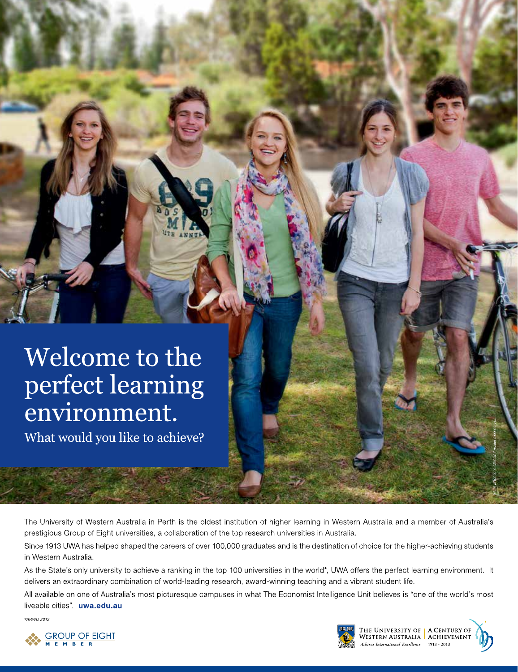# Welcome to the perfect learning environment.

What would you like to achieve?

The University of Western Australia in Perth is the oldest institution of higher learning in Western Australia and a member of Australia's prestigious Group of Eight universities, a collaboration of the top research universities in Australia.

Since 1913 UWA has helped shaped the careers of over 100,000 graduates and is the destination of choice for the higher-achieving students in Western Australia.

As the State's only university to achieve a ranking in the top 100 universities in the world\*, UWA offers the perfect learning environment. It delivers an extraordinary combination of world-leading research, award-winning teaching and a vibrant student life.

All available on one of Australia's most picturesque campuses in what The Economist Intelligence Unit believes is "one of the world's most liveable cities". uwa.edu.au

\*ARWU 2012

![](_page_3_Picture_7.jpeg)

![](_page_3_Picture_8.jpeg)

THE UNIVERSITY OF | A CENTURY OF<br>WESTERN AUSTRALIA | ACHIEVEMENT<br>Achieve International Excellence | 1913 - 2013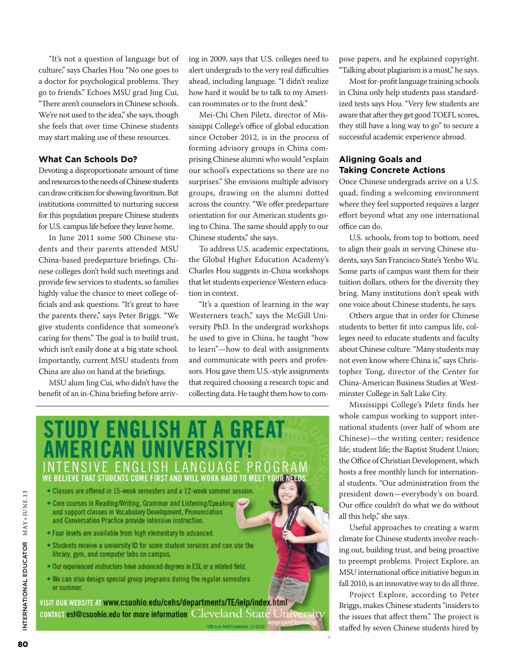"It's not a question of language but of culture," says Charles Hou "No one goes to a doctor for psychological problems. They go to friends." Echoes MSU grad Jing Cui, "There aren't counselors in Chinese schools. We're not used to the idea," she says, though she feels that over time Chinese students may start making use of these resources.

#### **What Can Schools Do?**

Devoting a disproportionate amount of time and resources to the needs of Chinese students can draw criticism for showing favoritism. But institutions committed to nurturing success for this population prepare Chinese students for U.S. campus life before they leave home.

In June 2011 some 500 Chinese students and their parents attended MSU China-based predeparture briefings. Chinese colleges don't hold such meetings and provide few services to students, so families highly value the chance to meet college officials and ask questions. "It's great to have the parents there," says Peter Briggs. "We give students confidence that someone's caring for them." The goal is to build trust, which isn't easily done at a big state school. Importantly, current MSU students from China are also on hand at the briefings.

MSU alum Jing Cui, who didn't have the benefit of an in-China briefing before arriving in 2009, says that U.S. colleges need to alert undergrads to the very real difficulties ahead, including language. "I didn't realize how hard it would be to talk to my American roommates or to the front desk."

Mei-Chi Chen Piletz, director of Mississippi College's office of global education since October 2012, is in the process of forming advisory groups in China comprising Chinese alumni who would "explain our school's expectations so there are no surprises." She envisions multiple advisory groups, drawing on the alumni dotted across the country. "We offer predeparture orientation for our American students going to China. The same should apply to our Chinese students," she says.

To address U.S. academic expectations, the Global Higher Education Academy's Charles Hou suggests in-China workshops that let students experience Western education in context.

"It's a question of learning in the way Westerners teach," says the McGill University PhD. In the undergrad workshops he used to give in China, he taught "how to learn"—how to deal with assignments and communicate with peers and professors. Hou gave them U.S.-style assignments that required choosing a research topic and collecting data. He taught them how to com-

![](_page_4_Picture_9.jpeg)

pose papers, and he explained copyright. "Talking about plagiarism is a must," he says.

Most for-profit language training schools in China only help students pass standardized tests says Hou. "Very few students are aware that after they get good TOEFL scores, they still have a long way to go" to secure a successful academic experience abroad.

#### **Aligning Goals and Taking Concrete Actions**

Once Chinese undergrads arrive on a U.S. quad, finding a welcoming environment where they feel supported requires a larger effort beyond what any one international office can do.

U.S. schools, from top to bottom, need to align their goals in serving Chinese students, says San Francisco State's Yenbo Wu. Some parts of campus want them for their tuition dollars, others for the diversity they bring. Many institutions don't speak with one voice about Chinese students, he says.

Others argue that in order for Chinese students to better fit into campus life, colleges need to educate students and faculty about Chinese culture. "Many students may not even know where China is," says Christopher Tong, director of the Center for China-American Business Studies at Westminster College in Salt Lake City.

Mississippi College's Piletz finds her whole campus working to support international students (over half of whom are Chinese)—the writing center; residence life; student life; the Baptist Student Union; the Office of Christian Development, which hosts a free monthly lunch for international students. "Our administration from the president down—everybody's on board. Our office couldn't do what we do without all this help," she says.

Useful approaches to creating a warm climate for Chinese students involve reaching out, building trust, and being proactive to preempt problems. Project Explore, an MSU international office initiative begun in fall 2010, is an innovative way to do all three.

Project Explore, according to Peter Briggs, makes Chinese students "insiders to the issues that affect them." The project is staffed by seven Chinese students hired by